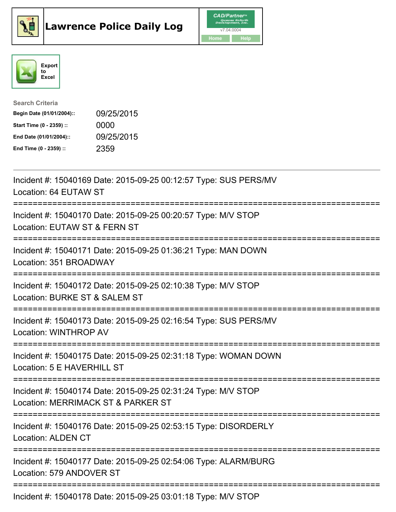





| <b>Search Criteria</b>    |            |
|---------------------------|------------|
| Begin Date (01/01/2004):: | 09/25/2015 |
| Start Time (0 - 2359) ::  | 0000       |
| End Date (01/01/2004)::   | 09/25/2015 |
| End Time (0 - 2359) ::    | 2359       |

| Incident #: 15040169 Date: 2015-09-25 00:12:57 Type: SUS PERS/MV<br>Location: 64 EUTAW ST                                                            |
|------------------------------------------------------------------------------------------------------------------------------------------------------|
| Incident #: 15040170 Date: 2015-09-25 00:20:57 Type: M/V STOP<br>Location: EUTAW ST & FERN ST                                                        |
| Incident #: 15040171 Date: 2015-09-25 01:36:21 Type: MAN DOWN<br>Location: 351 BROADWAY<br>=============================<br>:======================= |
| Incident #: 15040172 Date: 2015-09-25 02:10:38 Type: M/V STOP<br>Location: BURKE ST & SALEM ST<br>===============                                    |
| Incident #: 15040173 Date: 2015-09-25 02:16:54 Type: SUS PERS/MV<br><b>Location: WINTHROP AV</b>                                                     |
| Incident #: 15040175 Date: 2015-09-25 02:31:18 Type: WOMAN DOWN<br>Location: 5 E HAVERHILL ST                                                        |
| ====================================<br>Incident #: 15040174 Date: 2015-09-25 02:31:24 Type: M/V STOP<br>Location: MERRIMACK ST & PARKER ST          |
| ===========================<br>Incident #: 15040176 Date: 2015-09-25 02:53:15 Type: DISORDERLY<br><b>Location: ALDEN CT</b>                          |
| Incident #: 15040177 Date: 2015-09-25 02:54:06 Type: ALARM/BURG<br>Location: 579 ANDOVER ST                                                          |
| Incident #: 15040178 Date: 2015-09-25 03:01:18 Type: M/V STOP                                                                                        |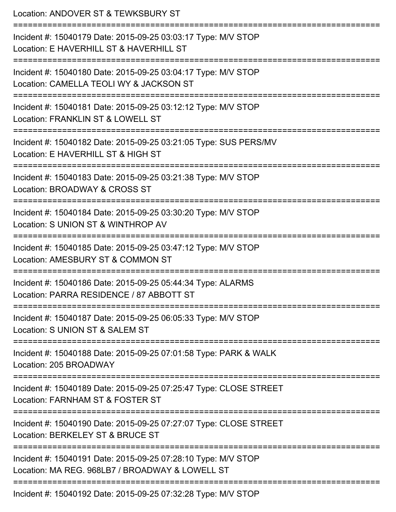| Location: ANDOVER ST & TEWKSBURY ST<br>================================                                                             |
|-------------------------------------------------------------------------------------------------------------------------------------|
| Incident #: 15040179 Date: 2015-09-25 03:03:17 Type: M/V STOP<br>Location: E HAVERHILL ST & HAVERHILL ST<br>======================= |
| Incident #: 15040180 Date: 2015-09-25 03:04:17 Type: M/V STOP<br>Location: CAMELLA TEOLI WY & JACKSON ST                            |
| Incident #: 15040181 Date: 2015-09-25 03:12:12 Type: M/V STOP<br>Location: FRANKLIN ST & LOWELL ST                                  |
| Incident #: 15040182 Date: 2015-09-25 03:21:05 Type: SUS PERS/MV<br>Location: E HAVERHILL ST & HIGH ST                              |
| Incident #: 15040183 Date: 2015-09-25 03:21:38 Type: M/V STOP<br>Location: BROADWAY & CROSS ST                                      |
| Incident #: 15040184 Date: 2015-09-25 03:30:20 Type: M/V STOP<br>Location: S UNION ST & WINTHROP AV                                 |
| Incident #: 15040185 Date: 2015-09-25 03:47:12 Type: M/V STOP<br>Location: AMESBURY ST & COMMON ST                                  |
| Incident #: 15040186 Date: 2015-09-25 05:44:34 Type: ALARMS<br>Location: PARRA RESIDENCE / 87 ABBOTT ST                             |
| Incident #: 15040187 Date: 2015-09-25 06:05:33 Type: M/V STOP<br>Location: S UNION ST & SALEM ST                                    |
| Incident #: 15040188 Date: 2015-09-25 07:01:58 Type: PARK & WALK<br>Location: 205 BROADWAY                                          |
| Incident #: 15040189 Date: 2015-09-25 07:25:47 Type: CLOSE STREET<br>Location: FARNHAM ST & FOSTER ST                               |
| Incident #: 15040190 Date: 2015-09-25 07:27:07 Type: CLOSE STREET<br>Location: BERKELEY ST & BRUCE ST                               |
| Incident #: 15040191 Date: 2015-09-25 07:28:10 Type: M/V STOP<br>Location: MA REG. 968LB7 / BROADWAY & LOWELL ST                    |
| Incident #: 15040192 Date: 2015-09-25 07:32:28 Type: M/V STOP                                                                       |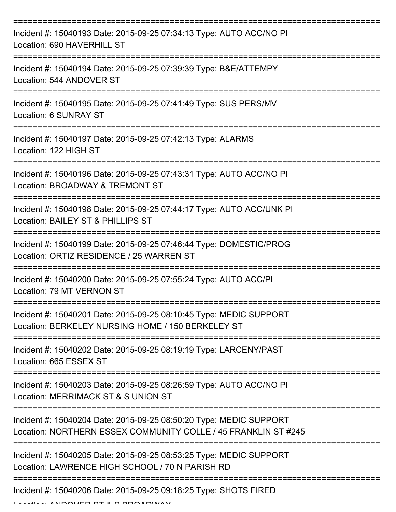| Incident #: 15040193 Date: 2015-09-25 07:34:13 Type: AUTO ACC/NO PI<br>Location: 690 HAVERHILL ST                                    |
|--------------------------------------------------------------------------------------------------------------------------------------|
| Incident #: 15040194 Date: 2015-09-25 07:39:39 Type: B&E/ATTEMPY<br>Location: 544 ANDOVER ST                                         |
| Incident #: 15040195 Date: 2015-09-25 07:41:49 Type: SUS PERS/MV<br>Location: 6 SUNRAY ST                                            |
| Incident #: 15040197 Date: 2015-09-25 07:42:13 Type: ALARMS<br>Location: 122 HIGH ST                                                 |
| Incident #: 15040196 Date: 2015-09-25 07:43:31 Type: AUTO ACC/NO PI<br>Location: BROADWAY & TREMONT ST                               |
| Incident #: 15040198 Date: 2015-09-25 07:44:17 Type: AUTO ACC/UNK PI<br>Location: BAILEY ST & PHILLIPS ST                            |
| Incident #: 15040199 Date: 2015-09-25 07:46:44 Type: DOMESTIC/PROG<br>Location: ORTIZ RESIDENCE / 25 WARREN ST                       |
| Incident #: 15040200 Date: 2015-09-25 07:55:24 Type: AUTO ACC/PI<br>Location: 79 MT VERNON ST                                        |
| Incident #: 15040201 Date: 2015-09-25 08:10:45 Type: MEDIC SUPPORT<br>Location: BERKELEY NURSING HOME / 150 BERKELEY ST              |
| Incident #: 15040202 Date: 2015-09-25 08:19:19 Type: LARCENY/PAST<br>Location: 665 ESSEX ST                                          |
| Incident #: 15040203 Date: 2015-09-25 08:26:59 Type: AUTO ACC/NO PI<br>Location: MERRIMACK ST & S UNION ST                           |
| Incident #: 15040204 Date: 2015-09-25 08:50:20 Type: MEDIC SUPPORT<br>Location: NORTHERN ESSEX COMMUNITY COLLE / 45 FRANKLIN ST #245 |
| Incident #: 15040205 Date: 2015-09-25 08:53:25 Type: MEDIC SUPPORT<br>Location: LAWRENCE HIGH SCHOOL / 70 N PARISH RD                |
| Incident #: 15040206 Date: 2015-09-25 09:18:25 Type: SHOTS FIRED                                                                     |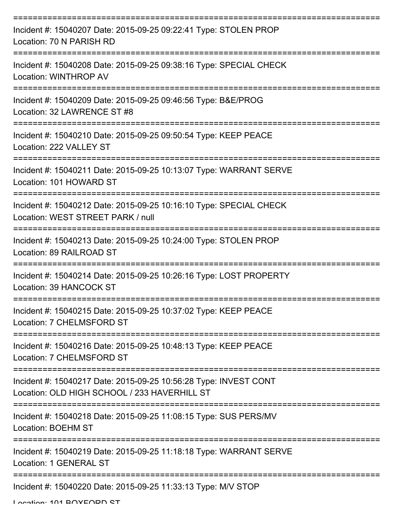| Incident #: 15040207 Date: 2015-09-25 09:22:41 Type: STOLEN PROP<br>Location: 70 N PARISH RD                                       |
|------------------------------------------------------------------------------------------------------------------------------------|
| Incident #: 15040208 Date: 2015-09-25 09:38:16 Type: SPECIAL CHECK<br>Location: WINTHROP AV                                        |
| Incident #: 15040209 Date: 2015-09-25 09:46:56 Type: B&E/PROG<br>Location: 32 LAWRENCE ST #8                                       |
| Incident #: 15040210 Date: 2015-09-25 09:50:54 Type: KEEP PEACE<br>Location: 222 VALLEY ST                                         |
| Incident #: 15040211 Date: 2015-09-25 10:13:07 Type: WARRANT SERVE<br>Location: 101 HOWARD ST<br>================================= |
| Incident #: 15040212 Date: 2015-09-25 10:16:10 Type: SPECIAL CHECK<br>Location: WEST STREET PARK / null                            |
| Incident #: 15040213 Date: 2015-09-25 10:24:00 Type: STOLEN PROP<br>Location: 89 RAILROAD ST                                       |
| Incident #: 15040214 Date: 2015-09-25 10:26:16 Type: LOST PROPERTY<br>Location: 39 HANCOCK ST                                      |
| Incident #: 15040215 Date: 2015-09-25 10:37:02 Type: KEEP PEACE<br>Location: 7 CHELMSFORD ST                                       |
| Incident #: 15040216 Date: 2015-09-25 10:48:13 Type: KEEP PEACE<br>Location: 7 CHELMSFORD ST                                       |
| Incident #: 15040217 Date: 2015-09-25 10:56:28 Type: INVEST CONT<br>Location: OLD HIGH SCHOOL / 233 HAVERHILL ST                   |
| Incident #: 15040218 Date: 2015-09-25 11:08:15 Type: SUS PERS/MV<br><b>Location: BOEHM ST</b>                                      |
| Incident #: 15040219 Date: 2015-09-25 11:18:18 Type: WARRANT SERVE<br>Location: 1 GENERAL ST                                       |
| Incident #: 15040220 Date: 2015-09-25 11:33:13 Type: M/V STOP                                                                      |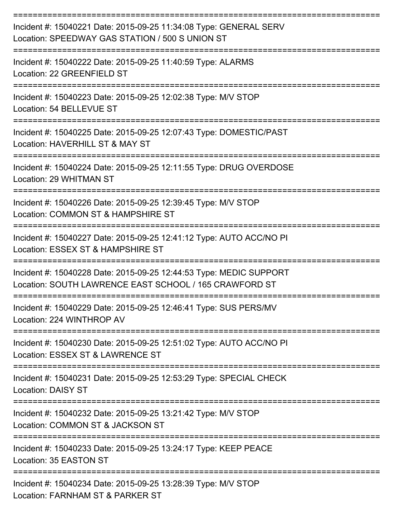| Incident #: 15040221 Date: 2015-09-25 11:34:08 Type: GENERAL SERV<br>Location: SPEEDWAY GAS STATION / 500 S UNION ST         |
|------------------------------------------------------------------------------------------------------------------------------|
| Incident #: 15040222 Date: 2015-09-25 11:40:59 Type: ALARMS<br>Location: 22 GREENFIELD ST                                    |
| Incident #: 15040223 Date: 2015-09-25 12:02:38 Type: M/V STOP<br>Location: 54 BELLEVUE ST                                    |
| Incident #: 15040225 Date: 2015-09-25 12:07:43 Type: DOMESTIC/PAST<br>Location: HAVERHILL ST & MAY ST                        |
| Incident #: 15040224 Date: 2015-09-25 12:11:55 Type: DRUG OVERDOSE<br>Location: 29 WHITMAN ST                                |
| Incident #: 15040226 Date: 2015-09-25 12:39:45 Type: M/V STOP<br>Location: COMMON ST & HAMPSHIRE ST                          |
| Incident #: 15040227 Date: 2015-09-25 12:41:12 Type: AUTO ACC/NO PI<br>Location: ESSEX ST & HAMPSHIRE ST                     |
| Incident #: 15040228 Date: 2015-09-25 12:44:53 Type: MEDIC SUPPORT<br>Location: SOUTH LAWRENCE EAST SCHOOL / 165 CRAWFORD ST |
| Incident #: 15040229 Date: 2015-09-25 12:46:41 Type: SUS PERS/MV<br>Location: 224 WINTHROP AV                                |
| Incident #: 15040230 Date: 2015-09-25 12:51:02 Type: AUTO ACC/NO PI<br>Location: ESSEX ST & LAWRENCE ST                      |
| Incident #: 15040231 Date: 2015-09-25 12:53:29 Type: SPECIAL CHECK<br><b>Location: DAISY ST</b>                              |
| Incident #: 15040232 Date: 2015-09-25 13:21:42 Type: M/V STOP<br>Location: COMMON ST & JACKSON ST                            |
| Incident #: 15040233 Date: 2015-09-25 13:24:17 Type: KEEP PEACE<br>Location: 35 EASTON ST                                    |
| Incident #: 15040234 Date: 2015-09-25 13:28:39 Type: M/V STOP<br>Location: FARNHAM ST & PARKER ST                            |